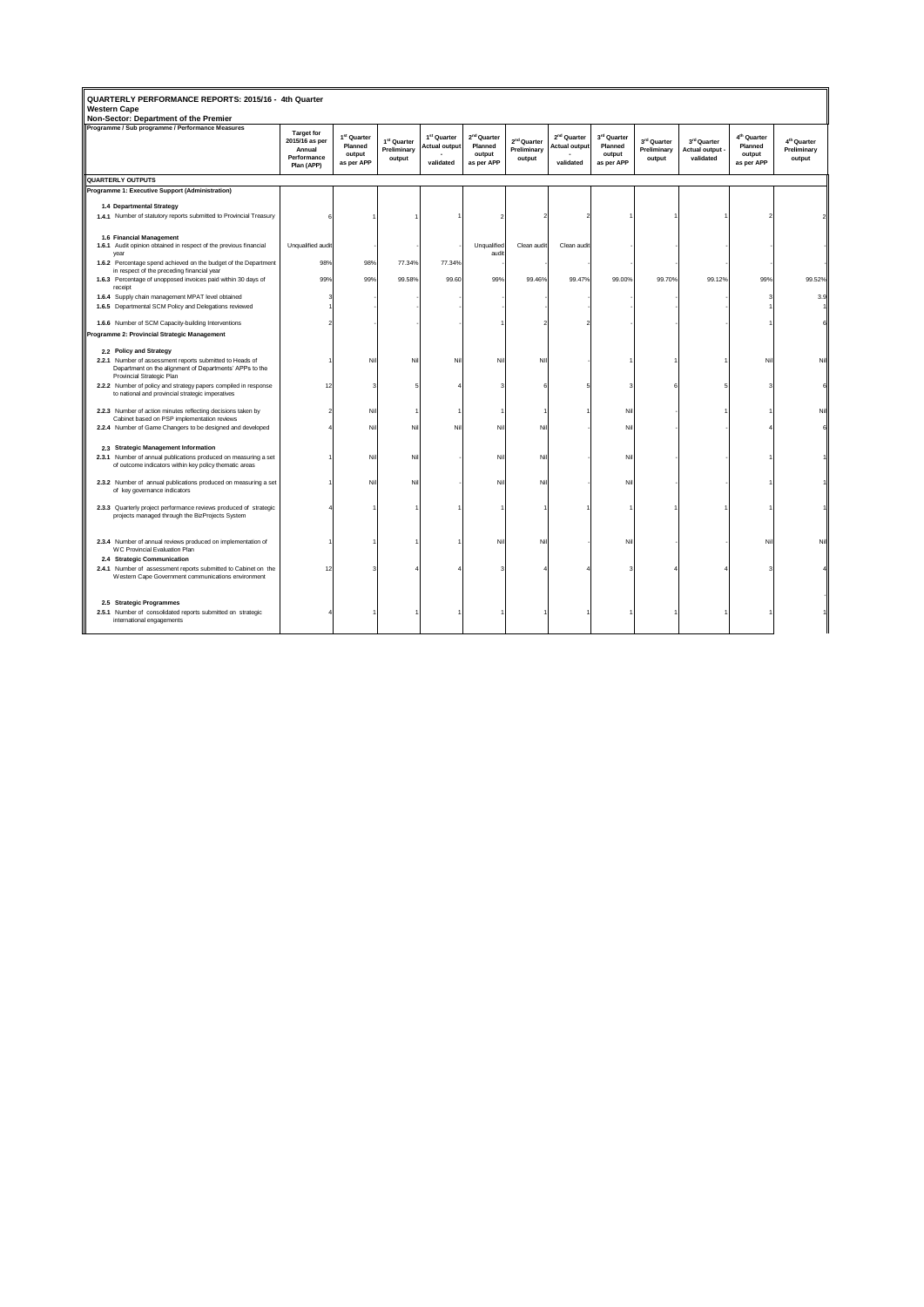| QUARTERLY PERFORMANCE REPORTS: 2015/16 - 4th Quarter<br><b>Western Cape</b><br>Non-Sector: Department of the Premier                                                        |                                                                            |                                                            |                                                  |                                                              |                                                            |                                                  |                                                              |                                                |                                      |                                             |                                                            |                                                  |
|-----------------------------------------------------------------------------------------------------------------------------------------------------------------------------|----------------------------------------------------------------------------|------------------------------------------------------------|--------------------------------------------------|--------------------------------------------------------------|------------------------------------------------------------|--------------------------------------------------|--------------------------------------------------------------|------------------------------------------------|--------------------------------------|---------------------------------------------|------------------------------------------------------------|--------------------------------------------------|
| Programme / Sub programme / Performance Measures                                                                                                                            | <b>Target for</b><br>2015/16 as per<br>Annual<br>Performance<br>Plan (APP) | 1 <sup>st</sup> Quarter<br>Planned<br>output<br>as per APP | 1 <sup>st</sup> Quarter<br>Preliminary<br>output | 1 <sup>st</sup> Quarter<br><b>Actual output</b><br>validated | 2 <sup>nd</sup> Quarter<br>Planned<br>output<br>as per APP | 2 <sup>nd</sup> Quarter<br>Preliminary<br>output | 2 <sup>nd</sup> Quarter<br><b>Actual output</b><br>validated | 3rd Quarter<br>Planned<br>output<br>as per APP | 3rd Quarter<br>Preliminary<br>output | 3rd Quarter<br>Actual output -<br>validated | 4 <sup>th</sup> Quarter<br>Planned<br>output<br>as per APP | 4 <sup>th</sup> Quarter<br>Preliminary<br>output |
| QUARTERLY OUTPUTS                                                                                                                                                           |                                                                            |                                                            |                                                  |                                                              |                                                            |                                                  |                                                              |                                                |                                      |                                             |                                                            |                                                  |
| Programme 1: Executive Support (Administration)                                                                                                                             |                                                                            |                                                            |                                                  |                                                              |                                                            |                                                  |                                                              |                                                |                                      |                                             |                                                            |                                                  |
| 1.4 Departmental Strategy                                                                                                                                                   |                                                                            |                                                            |                                                  |                                                              |                                                            |                                                  |                                                              |                                                |                                      |                                             |                                                            |                                                  |
| 1.4.1 Number of statutory reports submitted to Provincial Treasury                                                                                                          |                                                                            |                                                            |                                                  |                                                              |                                                            |                                                  |                                                              |                                                |                                      |                                             |                                                            |                                                  |
| 1.6 Financial Management<br>1.6.1 Audit opinion obtained in respect of the previous financial<br>year<br>1.6.2 Percentage spend achieved on the budget of the Department    | Unqualified audit<br>98%                                                   | 98%                                                        | 77.34%                                           | 77.34%                                                       | Unqualified<br>audit                                       | Clean audit                                      | Clean audit                                                  |                                                |                                      |                                             |                                                            |                                                  |
| in respect of the preceding financial year<br>1.6.3 Percentage of unopposed invoices paid within 30 days of<br>receipt                                                      | 99%                                                                        | 99%                                                        | 99.58%                                           | 99.60                                                        | 99%                                                        | 99.46%                                           | 99.47%                                                       | 99.00%                                         | 99.70%                               | 99.12%                                      | 99%                                                        | 99.52%                                           |
| 1.6.4 Supply chain management MPAT level obtained<br>1.6.5 Departmental SCM Policy and Delegations reviewed                                                                 |                                                                            |                                                            |                                                  |                                                              |                                                            |                                                  |                                                              |                                                |                                      |                                             |                                                            | 3.9                                              |
| 1.6.6 Number of SCM Capacity-building Interventions                                                                                                                         |                                                                            |                                                            |                                                  |                                                              |                                                            |                                                  |                                                              |                                                |                                      |                                             |                                                            |                                                  |
| Programme 2: Provincial Strategic Management                                                                                                                                |                                                                            |                                                            |                                                  |                                                              |                                                            |                                                  |                                                              |                                                |                                      |                                             |                                                            |                                                  |
| 2.2 Policy and Strategy<br>2.2.1 Number of assessment reports submitted to Heads of<br>Department on the alignment of Departments' APPs to the<br>Provincial Strategic Plan |                                                                            | Nil                                                        | Nil                                              | Nil                                                          | Nil                                                        | NII                                              |                                                              |                                                |                                      |                                             | Nil                                                        | Ni                                               |
| 2.2.2 Number of policy and strategy papers compiled in response<br>to national and provincial strategic imperatives                                                         | 12                                                                         |                                                            |                                                  |                                                              |                                                            |                                                  |                                                              |                                                |                                      |                                             |                                                            |                                                  |
| 2.2.3 Number of action minutes reflecting decisions taken by<br>Cabinet based on PSP implementation reviews                                                                 |                                                                            | Nil                                                        |                                                  |                                                              |                                                            |                                                  |                                                              | Nil                                            |                                      |                                             |                                                            | N                                                |
| 2.2.4 Number of Game Changers to be designed and developed                                                                                                                  |                                                                            | Nil                                                        | Nil                                              | Nil                                                          | Ni                                                         | Nil                                              |                                                              | Nil                                            |                                      |                                             |                                                            |                                                  |
| 2.3 Strategic Management Information<br>2.3.1 Number of annual publications produced on measuring a set<br>of outcome indicators within key policy thematic areas           |                                                                            | Nil                                                        | Ni                                               |                                                              | Nil                                                        | Nil                                              |                                                              | Nil                                            |                                      |                                             |                                                            |                                                  |
| 2.3.2 Number of annual publications produced on measuring a set<br>of key governance indicators                                                                             |                                                                            | Nil                                                        | Nil                                              |                                                              | Nil                                                        | Nil                                              |                                                              | Nil                                            |                                      |                                             |                                                            |                                                  |
| 2.3.3 Quarterly project performance reviews produced of strategic<br>projects managed through the BizProjects System                                                        |                                                                            |                                                            |                                                  |                                                              |                                                            |                                                  |                                                              |                                                |                                      |                                             |                                                            |                                                  |
| 2.3.4 Number of annual reviews produced on implementation of<br>WC Provincial Evaluation Plan<br>2.4 Strategic Communication                                                |                                                                            |                                                            |                                                  |                                                              | Nil                                                        | Nil                                              |                                                              | Nil                                            |                                      |                                             | Nil                                                        |                                                  |
| 2.4.1 Number of assessment reports submitted to Cabinet on the<br>Western Cape Government communications environment                                                        | 12                                                                         |                                                            |                                                  |                                                              |                                                            |                                                  |                                                              |                                                |                                      |                                             |                                                            |                                                  |
| 2.5 Strategic Programmes<br>2.5.1 Number of consolidated reports submitted on strategic<br>international engagements                                                        |                                                                            |                                                            |                                                  |                                                              |                                                            |                                                  |                                                              |                                                |                                      |                                             |                                                            |                                                  |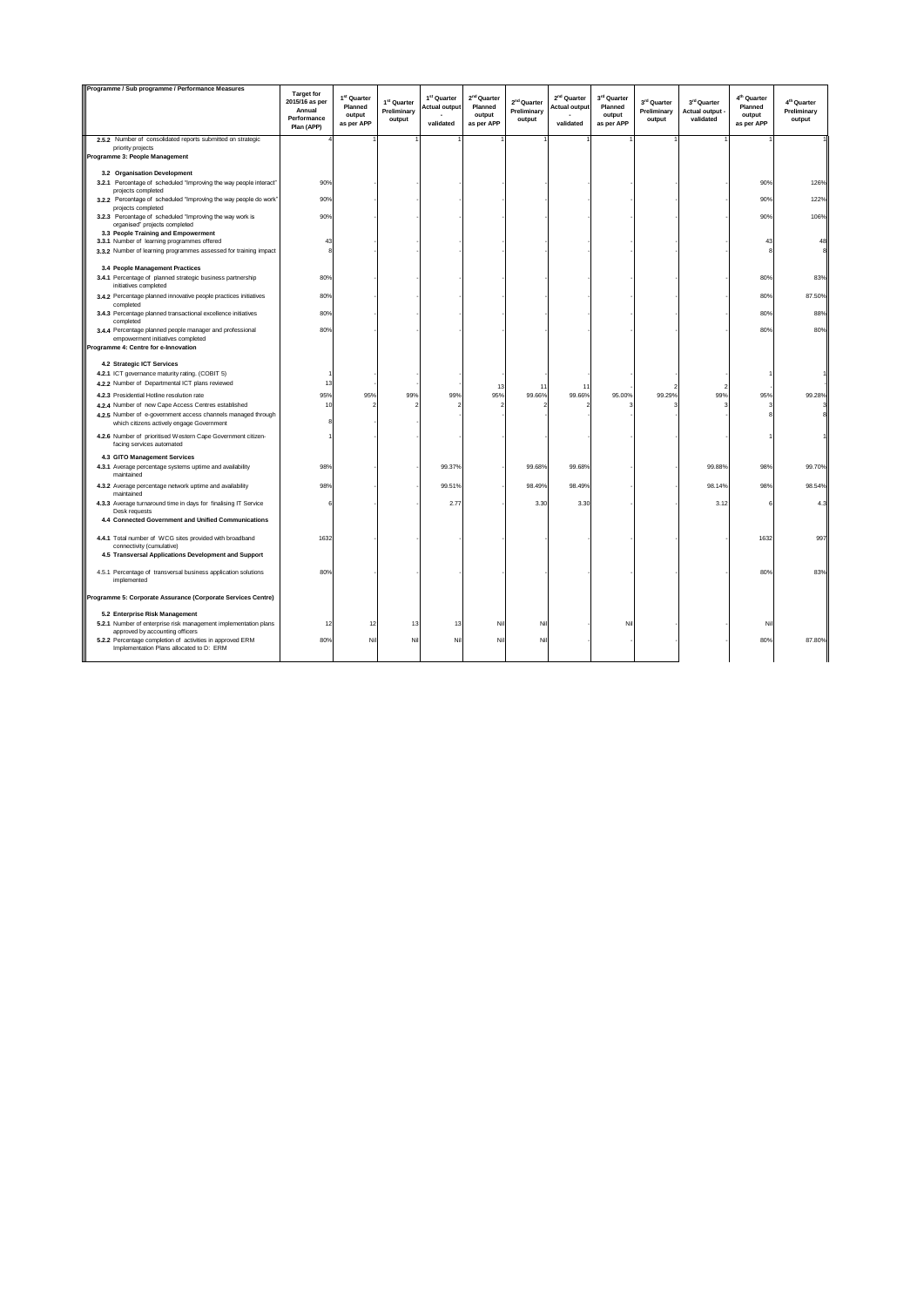| Programme / Sub programme / Performance Measures                                                                | <b>Target for</b><br>2015/16 as per<br>Annual<br>Performance | 1 <sup>st</sup> Quarter<br>Planned<br>output<br>as per APP | 1 <sup>st</sup> Quarter<br>Preliminary<br>output | 1 <sup>st</sup> Quarter<br><b>Actual output</b><br>validated | 2 <sup>nd</sup> Quarter<br>Planned<br>output<br>as per APP | 2 <sup>nd</sup> Quarter<br>Preliminary<br>output | 2 <sup>nd</sup> Quarter<br><b>Actual output</b><br>validated | 3rd Quarter<br>Planned<br>output<br>as per APP | 3rd Quarter<br>Preliminary<br>output | 3rd Quarter<br>Actual output -<br>validated | 4 <sup>th</sup> Quarter<br>Planned<br>output<br>as per APP | 4 <sup>th</sup> Quarter<br>Preliminary<br>output |
|-----------------------------------------------------------------------------------------------------------------|--------------------------------------------------------------|------------------------------------------------------------|--------------------------------------------------|--------------------------------------------------------------|------------------------------------------------------------|--------------------------------------------------|--------------------------------------------------------------|------------------------------------------------|--------------------------------------|---------------------------------------------|------------------------------------------------------------|--------------------------------------------------|
|                                                                                                                 | Plan (APP)                                                   |                                                            |                                                  |                                                              |                                                            |                                                  |                                                              |                                                |                                      |                                             |                                                            |                                                  |
| 2.5.2 Number of consolidated reports submitted on strategic<br>priority projects                                |                                                              |                                                            |                                                  |                                                              |                                                            |                                                  |                                                              |                                                |                                      |                                             |                                                            |                                                  |
| Programme 3: People Management                                                                                  |                                                              |                                                            |                                                  |                                                              |                                                            |                                                  |                                                              |                                                |                                      |                                             |                                                            |                                                  |
| 3.2 Organisation Development                                                                                    |                                                              |                                                            |                                                  |                                                              |                                                            |                                                  |                                                              |                                                |                                      |                                             |                                                            |                                                  |
| 3.2.1 Percentage of scheduled "Improving the way people interact"                                               | 90%                                                          |                                                            |                                                  |                                                              |                                                            |                                                  |                                                              |                                                |                                      |                                             | 90%                                                        | 126%                                             |
| projects completed<br>3.2.2 Percentage of scheduled "Improving the way people do work"                          | 90%                                                          |                                                            |                                                  |                                                              |                                                            |                                                  |                                                              |                                                |                                      |                                             | 90%                                                        | 122%                                             |
| projects completed<br>3.2.3 Percentage of scheduled "Improving the way work is<br>organised" projects completed | 90%                                                          |                                                            |                                                  |                                                              |                                                            |                                                  |                                                              |                                                |                                      |                                             | 90%                                                        | 106%                                             |
| 3.3 People Training and Empowerment                                                                             |                                                              |                                                            |                                                  |                                                              |                                                            |                                                  |                                                              |                                                |                                      |                                             |                                                            |                                                  |
| 3.3.1 Number of learning programmes offered<br>3.3.2 Number of learning programmes assessed for training impact | 43<br>8                                                      |                                                            |                                                  |                                                              |                                                            |                                                  |                                                              |                                                |                                      |                                             | 43                                                         |                                                  |
|                                                                                                                 |                                                              |                                                            |                                                  |                                                              |                                                            |                                                  |                                                              |                                                |                                      |                                             |                                                            |                                                  |
| 3.4 People Management Practices                                                                                 |                                                              |                                                            |                                                  |                                                              |                                                            |                                                  |                                                              |                                                |                                      |                                             |                                                            |                                                  |
| 3.4.1 Percentage of planned strategic business partnership<br>initiatives completed                             | 80%                                                          |                                                            |                                                  |                                                              |                                                            |                                                  |                                                              |                                                |                                      |                                             | 80%                                                        | 83%                                              |
| 3.4.2 Percentage planned innovative people practices initiatives<br>completed                                   | 80%                                                          |                                                            |                                                  |                                                              |                                                            |                                                  |                                                              |                                                |                                      |                                             | 80%                                                        | 87.50%                                           |
| 3.4.3 Percentage planned transactional excellence initiatives<br>completed                                      | 80%                                                          |                                                            |                                                  |                                                              |                                                            |                                                  |                                                              |                                                |                                      |                                             | 80%                                                        | 88%                                              |
| 3.4.4 Percentage planned people manager and professional<br>empowerment initiatives completed                   | 80%                                                          |                                                            |                                                  |                                                              |                                                            |                                                  |                                                              |                                                |                                      |                                             | 80%                                                        | 80%                                              |
| Programme 4: Centre for e-Innovation                                                                            |                                                              |                                                            |                                                  |                                                              |                                                            |                                                  |                                                              |                                                |                                      |                                             |                                                            |                                                  |
| 4.2 Strategic ICT Services                                                                                      |                                                              |                                                            |                                                  |                                                              |                                                            |                                                  |                                                              |                                                |                                      |                                             |                                                            |                                                  |
| 4.2.1 ICT governance maturity rating. (COBIT 5)                                                                 |                                                              |                                                            |                                                  |                                                              |                                                            |                                                  |                                                              |                                                |                                      |                                             |                                                            |                                                  |
| 4.2.2 Number of Departmental ICT plans reviewed                                                                 | 13                                                           |                                                            |                                                  |                                                              | 12                                                         | 1 <sup>1</sup>                                   | $\uparrow$                                                   |                                                |                                      |                                             |                                                            |                                                  |
| 4.2.3 Presidential Hotline resolution rate                                                                      | 95%                                                          | 95%                                                        | 99%                                              | 99%                                                          | 95%                                                        | 99.66%                                           | 99.66%                                                       | 95.00%                                         | 99.29%                               | 99%                                         | 95%                                                        | 99.28%                                           |
| 4.2.4 Number of new Cape Access Centres established                                                             | 10                                                           |                                                            |                                                  |                                                              |                                                            |                                                  |                                                              |                                                |                                      |                                             |                                                            |                                                  |
| 4.2.5 Number of e-government access channels managed through<br>which citizens actively engage Government       |                                                              |                                                            |                                                  |                                                              |                                                            |                                                  |                                                              |                                                |                                      |                                             |                                                            |                                                  |
| 4.2.6 Number of prioritised Western Cape Government citizen-<br>facing services automated                       |                                                              |                                                            |                                                  |                                                              |                                                            |                                                  |                                                              |                                                |                                      |                                             |                                                            |                                                  |
| 4.3 GITO Management Services                                                                                    |                                                              |                                                            |                                                  |                                                              |                                                            |                                                  |                                                              |                                                |                                      |                                             |                                                            |                                                  |
| 4.3.1 Average percentage systems uptime and availability<br>maintained                                          | 98%                                                          |                                                            |                                                  | 99.37%                                                       |                                                            | 99.68%                                           | 99.68%                                                       |                                                |                                      | 99.88%                                      | 98%                                                        | 99.70%                                           |
| 4.3.2 Average percentage network uptime and availability<br>maintained                                          | 98%                                                          |                                                            |                                                  | 99.51%                                                       |                                                            | 98.49%                                           | 98.49%                                                       |                                                |                                      | 98.14%                                      | 98%                                                        | 98.54%                                           |
| 4.3.3 Average turnaround time in days for finalising IT Service<br>Desk requests                                | 6                                                            |                                                            |                                                  | 2.77                                                         |                                                            | 3.30                                             | 3.30                                                         |                                                |                                      | 3.12                                        |                                                            | 4.3                                              |
| 4.4 Connected Government and Unified Communications                                                             |                                                              |                                                            |                                                  |                                                              |                                                            |                                                  |                                                              |                                                |                                      |                                             |                                                            |                                                  |
| 4.4.1 Total number of WCG sites provided with broadband<br>connectivity (cumulative)                            | 1632                                                         |                                                            |                                                  |                                                              |                                                            |                                                  |                                                              |                                                |                                      |                                             | 1632                                                       | 997                                              |
| 4.5 Transversal Applications Development and Support                                                            |                                                              |                                                            |                                                  |                                                              |                                                            |                                                  |                                                              |                                                |                                      |                                             |                                                            |                                                  |
| 4.5.1 Percentage of transversal business application solutions<br>implemented                                   | 80%                                                          |                                                            |                                                  |                                                              |                                                            |                                                  |                                                              |                                                |                                      |                                             | 80%                                                        | 83%                                              |
| Programme 5: Corporate Assurance (Corporate Services Centre)                                                    |                                                              |                                                            |                                                  |                                                              |                                                            |                                                  |                                                              |                                                |                                      |                                             |                                                            |                                                  |
| 5.2 Enterprise Risk Management                                                                                  |                                                              |                                                            |                                                  |                                                              |                                                            |                                                  |                                                              |                                                |                                      |                                             |                                                            |                                                  |
| 5.2.1 Number of enterprise risk management implementation plans<br>approved by accounting officers              | 12                                                           | 12                                                         | 13                                               | 13                                                           | Nil                                                        | Nil                                              |                                                              | Nil                                            |                                      |                                             | Nil                                                        |                                                  |
| 5.2.2 Percentage completion of activities in approved ERM<br>Implementation Plans allocated to D: ERM           | 80%                                                          | Nil                                                        | Nil                                              | Nil                                                          | Nil                                                        | Nil                                              |                                                              |                                                |                                      |                                             | 80%                                                        | 87.80%                                           |